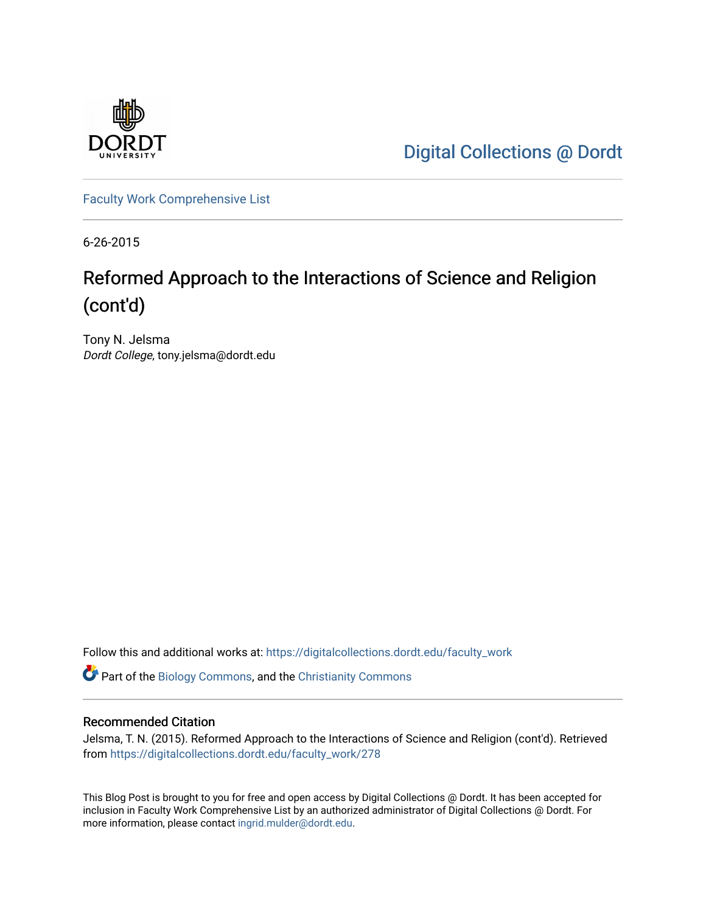

[Digital Collections @ Dordt](https://digitalcollections.dordt.edu/) 

[Faculty Work Comprehensive List](https://digitalcollections.dordt.edu/faculty_work)

6-26-2015

# Reformed Approach to the Interactions of Science and Religion (cont'd)

Tony N. Jelsma Dordt College, tony.jelsma@dordt.edu

Follow this and additional works at: [https://digitalcollections.dordt.edu/faculty\\_work](https://digitalcollections.dordt.edu/faculty_work?utm_source=digitalcollections.dordt.edu%2Ffaculty_work%2F278&utm_medium=PDF&utm_campaign=PDFCoverPages) 

Part of the [Biology Commons,](http://network.bepress.com/hgg/discipline/41?utm_source=digitalcollections.dordt.edu%2Ffaculty_work%2F278&utm_medium=PDF&utm_campaign=PDFCoverPages) and the [Christianity Commons](http://network.bepress.com/hgg/discipline/1181?utm_source=digitalcollections.dordt.edu%2Ffaculty_work%2F278&utm_medium=PDF&utm_campaign=PDFCoverPages)

#### Recommended Citation

Jelsma, T. N. (2015). Reformed Approach to the Interactions of Science and Religion (cont'd). Retrieved from [https://digitalcollections.dordt.edu/faculty\\_work/278](https://digitalcollections.dordt.edu/faculty_work/278?utm_source=digitalcollections.dordt.edu%2Ffaculty_work%2F278&utm_medium=PDF&utm_campaign=PDFCoverPages)

This Blog Post is brought to you for free and open access by Digital Collections @ Dordt. It has been accepted for inclusion in Faculty Work Comprehensive List by an authorized administrator of Digital Collections @ Dordt. For more information, please contact [ingrid.mulder@dordt.edu.](mailto:ingrid.mulder@dordt.edu)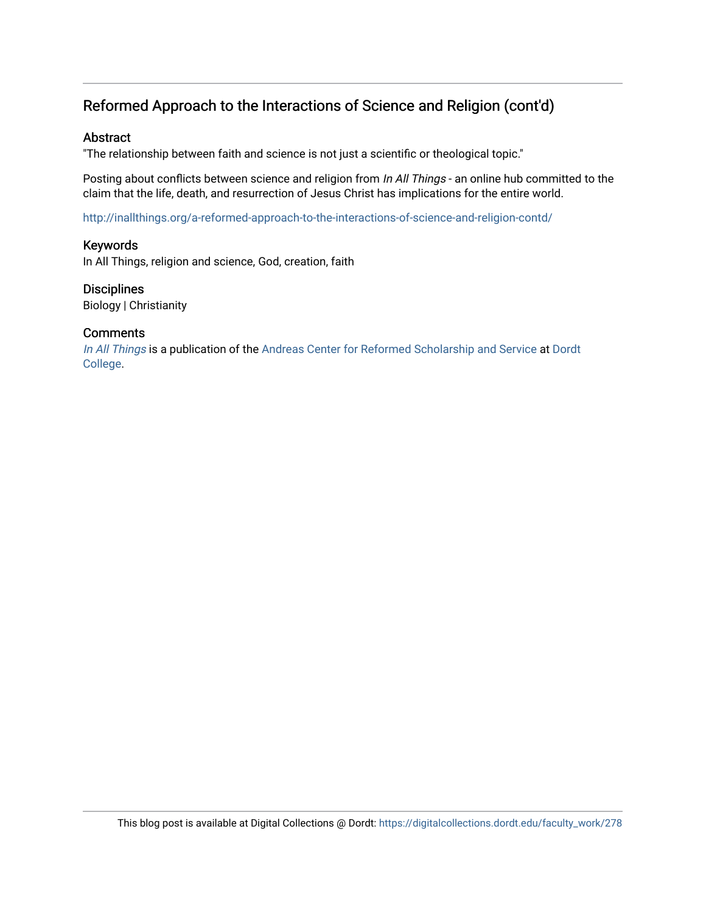## Reformed Approach to the Interactions of Science and Religion (cont'd)

#### Abstract

"The relationship between faith and science is not just a scientific or theological topic."

Posting about conflicts between science and religion from In All Things - an online hub committed to the claim that the life, death, and resurrection of Jesus Christ has implications for the entire world.

<http://inallthings.org/a-reformed-approach-to-the-interactions-of-science-and-religion-contd/>

#### Keywords

In All Things, religion and science, God, creation, faith

# **Disciplines**

Biology | Christianity

#### **Comments**

[In All Things](http://inallthings.org/) is a publication of the [Andreas Center for Reformed Scholarship and Service](http://www.dordt.edu/services_support/andreas_center/) at Dordt [College](http://www.dordt.edu/).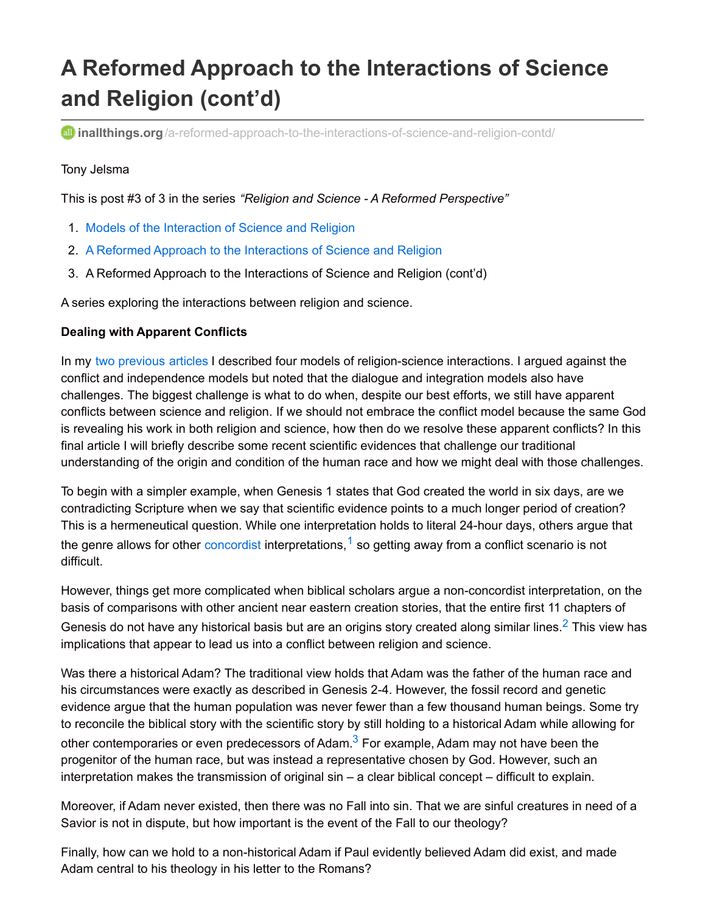# **A Reformed Approach to the Interactions of Science and Religion (cont'd)**

**all inallthings.org**[/a-reformed-approach-to-the-interactions-of-science-and-religion-contd/](http://inallthings.org/a-reformed-approach-to-the-interactions-of-science-and-religion-contd/?utm_source=feedburner&utm_medium=email&utm_campaign=Feed:+in-all-things+(in+all+things))

#### Tony Jelsma

This is post #3 of 3 in the series *"Religion and Science - A Reformed Perspective"*

- 1. Models of the [Interaction](http://inallthings.org/models-of-the-interaction-of-science-and-religion/) of Science and Religion
- 2. A Reformed Approach to the [Interactions](http://inallthings.org/a-reformed-approach-to-the-interactions-of-science-and-religion/) of Science and Religion
- 3. A Reformed Approach to the Interactions of Science and Religion (cont'd)

A series exploring the interactions between religion and science.

#### **Dealing with Apparent Conflicts**

In my two [previous](http://inallthings.org/models-of-the-interaction-of-science-and-religion/) [articles](http://inallthings.org/a-reformed-approach-to-the-interactions-of-science-and-religion/) I described four models of religion-science interactions. I argued against the conflict and independence models but noted that the dialogue and integration models also have challenges. The biggest challenge is what to do when, despite our best efforts, we still have apparent conflicts between science and religion. If we should not embrace the conflict model because the same God is revealing his work in both religion and science, how then do we resolve these apparent conflicts? In this final article I will briefly describe some recent scientific evidences that challenge our traditional understanding of the origin and condition of the human race and how we might deal with those challenges.

To begin with a simpler example, when Genesis 1 states that God created the world in six days, are we contradicting Scripture when we say that scientific evidence points to a much longer period of creation? This is a hermeneutical question. While one interpretation holds to literal 24-hour days, others argue that the genre allows for other [concordist](http://inallthings.org/glossary/concordist/) interpretations, <sup>[1](http://inallthings.org/a-reformed-approach-to-the-interactions-of-science-and-religion-contd/?utm_source=feedburner&utm_medium=email&utm_campaign=Feed%3A+in-all-things+%28in+all+things%29#fn1-4987)</sup> so getting away from a conflict scenario is not difficult.

However, things get more complicated when biblical scholars argue a non-concordist interpretation, on the basis of comparisons with other ancient near eastern creation stories, that the entire first 11 chapters of Genesis do not have any historical basis but are an origins story created along similar lines.<sup>[2](http://inallthings.org/a-reformed-approach-to-the-interactions-of-science-and-religion-contd/?utm_source=feedburner&utm_medium=email&utm_campaign=Feed%3A+in-all-things+%28in+all+things%29#fn2-4987)</sup> This view has implications that appear to lead us into a conflict between religion and science.

Was there a historical Adam? The traditional view holds that Adam was the father of the human race and his circumstances were exactly as described in Genesis 2-4. However, the fossil record and genetic evidence argue that the human population was never fewer than a few thousand human beings. Some try to reconcile the biblical story with the scientific story by still holding to a historical Adam while allowing for other contemporaries or even predecessors of Adam.<sup>[3](http://inallthings.org/a-reformed-approach-to-the-interactions-of-science-and-religion-contd/?utm_source=feedburner&utm_medium=email&utm_campaign=Feed%3A+in-all-things+%28in+all+things%29#fn3-4987)</sup> For example, Adam may not have been the progenitor of the human race, but was instead a representative chosen by God. However, such an interpretation makes the transmission of original sin – a clear biblical concept – difficult to explain.

Moreover, if Adam never existed, then there was no Fall into sin. That we are sinful creatures in need of a Savior is not in dispute, but how important is the event of the Fall to our theology?

Finally, how can we hold to a non-historical Adam if Paul evidently believed Adam did exist, and made Adam central to his theology in his letter to the Romans?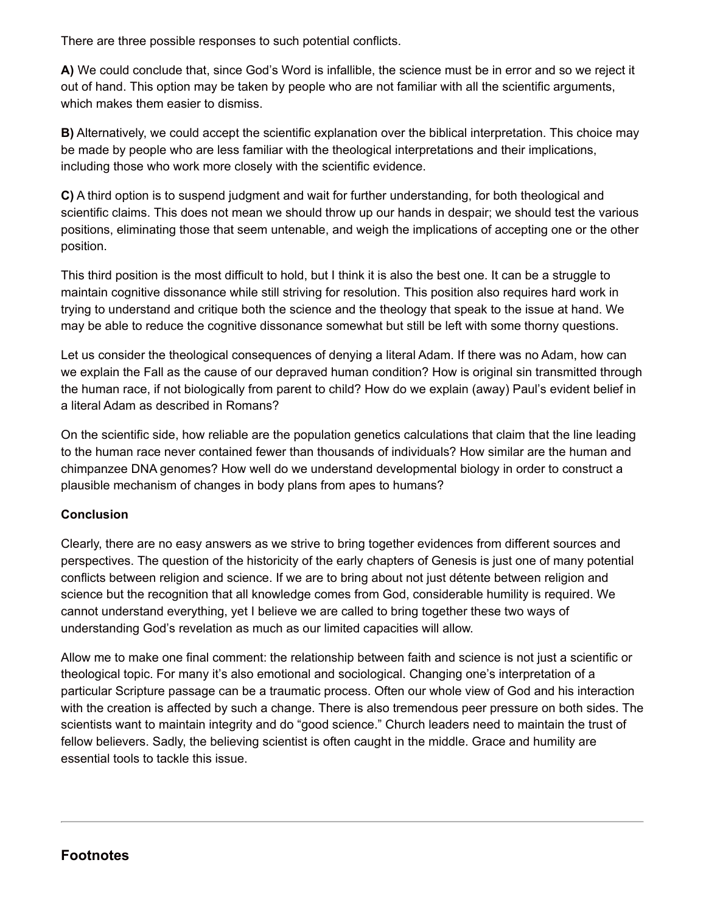There are three possible responses to such potential conflicts.

**A)** We could conclude that, since God's Word is infallible, the science must be in error and so we reject it out of hand. This option may be taken by people who are not familiar with all the scientific arguments, which makes them easier to dismiss.

**B)** Alternatively, we could accept the scientific explanation over the biblical interpretation. This choice may be made by people who are less familiar with the theological interpretations and their implications, including those who work more closely with the scientific evidence.

**C)** A third option is to suspend judgment and wait for further understanding, for both theological and scientific claims. This does not mean we should throw up our hands in despair; we should test the various positions, eliminating those that seem untenable, and weigh the implications of accepting one or the other position.

This third position is the most difficult to hold, but I think it is also the best one. It can be a struggle to maintain cognitive dissonance while still striving for resolution. This position also requires hard work in trying to understand and critique both the science and the theology that speak to the issue at hand. We may be able to reduce the cognitive dissonance somewhat but still be left with some thorny questions.

Let us consider the theological consequences of denying a literal Adam. If there was no Adam, how can we explain the Fall as the cause of our depraved human condition? How is original sin transmitted through the human race, if not biologically from parent to child? How do we explain (away) Paul's evident belief in a literal Adam as described in Romans?

On the scientific side, how reliable are the population genetics calculations that claim that the line leading to the human race never contained fewer than thousands of individuals? How similar are the human and chimpanzee DNA genomes? How well do we understand developmental biology in order to construct a plausible mechanism of changes in body plans from apes to humans?

### **Conclusion**

Clearly, there are no easy answers as we strive to bring together evidences from different sources and perspectives. The question of the historicity of the early chapters of Genesis is just one of many potential conflicts between religion and science. If we are to bring about not just détente between religion and science but the recognition that all knowledge comes from God, considerable humility is required. We cannot understand everything, yet I believe we are called to bring together these two ways of understanding God's revelation as much as our limited capacities will allow.

Allow me to make one final comment: the relationship between faith and science is not just a scientific or theological topic. For many it's also emotional and sociological. Changing one's interpretation of a particular Scripture passage can be a traumatic process. Often our whole view of God and his interaction with the creation is affected by such a change. There is also tremendous peer pressure on both sides. The scientists want to maintain integrity and do "good science." Church leaders need to maintain the trust of fellow believers. Sadly, the believing scientist is often caught in the middle. Grace and humility are essential tools to tackle this issue.

## **Footnotes**